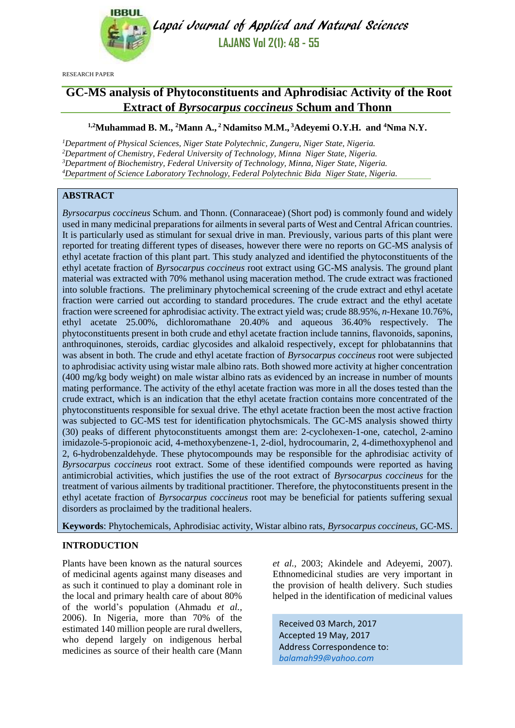

Lapai Journal of Applied and Natural Sciences **LAJANS Vol 2(1): 48 - 55**

RESEARCH PAPER

# **GC-MS analysis of Phytoconstituents and Aphrodisiac Activity of the Root Extract of** *Byrsocarpus coccineus* **Schum and Thonn**

### **1,2Muhammad B. M., <sup>2</sup>Mann A., <sup>2</sup> Ndamitso M.M., <sup>3</sup>Adeyemi O.Y.H. and <sup>4</sup>Nma N.Y.**

*Department of Physical Sciences, Niger State Polytechnic, Zungeru, Niger State, Nigeria. Department of Chemistry, Federal University of Technology, Minna Niger State, Nigeria. Department of Biochemistry, Federal University of Technology, Minna, Niger State, Nigeria. Department of Science Laboratory Technology, Federal Polytechnic Bida Niger State, Nigeria.*

# **ABSTRACT**

*Byrsocarpus coccineus* Schum. and Thonn. (Connaraceae) (Short pod) is commonly found and widely used in many medicinal preparations for ailments in several parts of West and Central African countries. It is particularly used as stimulant for sexual drive in man. Previously, various parts of this plant were reported for treating different types of diseases, however there were no reports on GC-MS analysis of ethyl acetate fraction of this plant part. This study analyzed and identified the phytoconstituents of the ethyl acetate fraction of *Byrsocarpus coccineus* root extract using GC-MS analysis. The ground plant material was extracted with 70% methanol using maceration method. The crude extract was fractioned into soluble fractions. The preliminary phytochemical screening of the crude extract and ethyl acetate fraction were carried out according to standard procedures. The crude extract and the ethyl acetate fraction were screened for aphrodisiac activity. The extract yield was; crude 88.95%, *n-*Hexane 10.76%, ethyl acetate 25.00%, dichloromathane 20.40% and aqueous 36.40% respectively. The phytoconstituents present in both crude and ethyl acetate fraction include tannins, flavonoids, saponins, anthroquinones, steroids, cardiac glycosides and alkaloid respectively, except for phlobatannins that was absent in both. The crude and ethyl acetate fraction of *Byrsocarpus coccineus* root were subjected to aphrodisiac activity using wistar male albino rats. Both showed more activity at higher concentration (400 mg/kg body weight) on male wistar albino rats as evidenced by an increase in number of mounts mating performance. The activity of the ethyl acetate fraction was more in all the doses tested than the crude extract, which is an indication that the ethyl acetate fraction contains more concentrated of the phytoconstituents responsible for sexual drive. The ethyl acetate fraction been the most active fraction was subjected to GC-MS test for identification phytochsmicals. The GC-MS analysis showed thirty (30) peaks of different phytoconstituents amongst them are: 2-cyclohexen-1-one, catechol, 2-amino imidazole-5-propionoic acid, 4-methoxybenzene-1, 2-diol, hydrocoumarin, 2, 4-dimethoxyphenol and 2, 6-hydrobenzaldehyde. These phytocompounds may be responsible for the aphrodisiac activity of *Byrsocarpus coccineus* root extract. Some of these identified compounds were reported as having antimicrobial activities, which justifies the use of the root extract of *Byrsocarpus coccineus* for the treatment of various ailments by traditional practitioner. Therefore, the phytoconstituents present in the ethyl acetate fraction of *Byrsocarpus coccineus* root may be beneficial for patients suffering sexual disorders as proclaimed by the traditional healers.

**Keywords**: Phytochemicals, Aphrodisiac activity, Wistar albino rats, *Byrsocarpus coccineus,* GC-MS.

# **INTRODUCTION**

Plants have been known as the natural sources of medicinal agents against many diseases and as such it continued to play a dominant role in the local and primary health care of about 80% of the world's population (Ahmadu *et al.,*  2006). In Nigeria, more than 70% of the estimated 140 million people are rural dwellers, who depend largely on indigenous herbal medicines as source of their health care (Mann *et al.,* 2003; Akindele and Adeyemi, 2007). Ethnomedicinal studies are very important in the provision of health delivery. Such studies helped in the identification of medicinal values

Received 03 March, 2017 Accepted 19 May, 2017 Address Correspondence to: *[balamah99@yahoo.com](mailto:balamah99@yahoo.com)*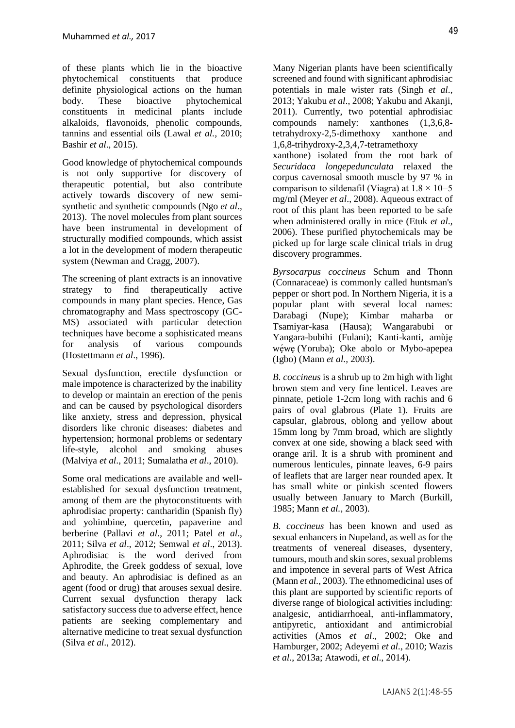of these plants which lie in the bioactive phytochemical constituents that produce definite physiological actions on the human<br>body. These bioactive phytochemical body. These bioactive phytochemical constituents in medicinal plants include alkaloids, flavonoids, phenolic compounds, tannins and essential oils (Lawal *et al.,* 2010; Bashir *et al*., 2015).

Good knowledge of phytochemical compounds is not only supportive for discovery of therapeutic potential, but also contribute actively towards discovery of new semisynthetic and synthetic compounds (Ngo *et al*., 2013). The novel molecules from plant sources have been instrumental in development of structurally modified compounds, which assist a lot in the development of modern therapeutic system (Newman and Cragg, 2007).

The screening of plant extracts is an innovative strategy to find therapeutically active compounds in many plant species. Hence, Gas chromatography and Mass spectroscopy (GC-MS) associated with particular detection techniques have become a sophisticated means for analysis of various compounds (Hostettmann *et al*., 1996).

Sexual dysfunction, erectile dysfunction or male impotence is characterized by the inability to develop or maintain an erection of the penis and can be caused by psychological disorders like anxiety, stress and depression, physical disorders like chronic diseases: diabetes and hypertension; hormonal problems or sedentary life-style, alcohol and smoking abuses (Malviya *et al*., 2011; Sumalatha *et al*., 2010).

Some oral medications are available and wellestablished for sexual dysfunction treatment, among of them are the phytoconstituents with aphrodisiac property: cantharidin (Spanish fly) and yohimbine, quercetin, papaverine and berberine (Pallavi *et al*., 2011; Patel *et al*., 2011; Silva *et al*., 2012; Semwal *et al*., 2013). Aphrodisiac is the word derived from Aphrodite, the Greek goddess of sexual, love and beauty. An aphrodisiac is defined as an agent (food or drug) that arouses sexual desire. Current sexual dysfunction therapy lack satisfactory success due to adverse effect, hence patients are seeking complementary and alternative medicine to treat sexual dysfunction (Silva *et al*., 2012).

Many Nigerian plants have been scientifically screened and found with significant aphrodisiac potentials in male wister rats (Singh *et al*., 2013; Yakubu *et al*., 2008; Yakubu and Akanji, 2011). Currently, two potential aphrodisiac compounds namely: xanthones (1,3,6,8 tetrahydroxy-2,5-dimethoxy xanthone and 1,6,8-trihydroxy-2,3,4,7-tetramethoxy xanthone) isolated from the root bark of *Securidaca longepedunculata* relaxed the corpus cavernosal smooth muscle by 97 % in comparison to sildenafil (Viagra) at  $1.8 \times 10-5$ mg/ml (Meyer *et al*., 2008). Aqueous extract of root of this plant has been reported to be safe when administered orally in mice (Etuk *et al*., 2006). These purified phytochemicals may be picked up for large scale clinical trials in drug discovery programmes.

*Byrsocarpus coccineus* Schum and Thonn (Connaraceae) is commonly called huntsman's pepper or short pod. In Northern Nigeria, it is a popular plant with several local names: Darabagi (Nupe); Kimbar maharba or Tsamiyar-kasa (Hausa); Wangarabubi or Yangara-bubihi (Fulani); Kanti-kanti, amùjẹ wéwe (Yoruba); Oke abolo or Mybo-apepea (Igbo) (Mann *et al.,* 2003).

*B. coccineus* is a shrub up to 2m high with light brown stem and very fine lenticel. Leaves are pinnate, petiole 1-2cm long with rachis and 6 pairs of oval glabrous (Plate 1). Fruits are capsular, glabrous, oblong and yellow about 15mm long by 7mm broad, which are slightly convex at one side, showing a black seed with orange aril. It is a shrub with prominent and numerous lenticules, pinnate leaves, 6-9 pairs of leaflets that are larger near rounded apex. It has small white or pinkish scented flowers usually between January to March (Burkill, 1985; Mann *et al.,* 2003).

*B. coccineus* has been known and used as sexual enhancers in Nupeland, as well as for the treatments of venereal diseases, dysentery, tumours, mouth and skin sores, sexual problems and impotence in several parts of West Africa (Mann *et al.,* 2003). The ethnomedicinal uses of this plant are supported by scientific reports of diverse range of biological activities including: analgesic, antidiarrhoeal, anti-inflammatory, antipyretic, antioxidant and antimicrobial activities (Amos *et al*., 2002; Oke and Hamburger, 2002; Adeyemi *et al.*, 2010; Wazis *et al*., 2013a; Atawodi, *et al*., 2014).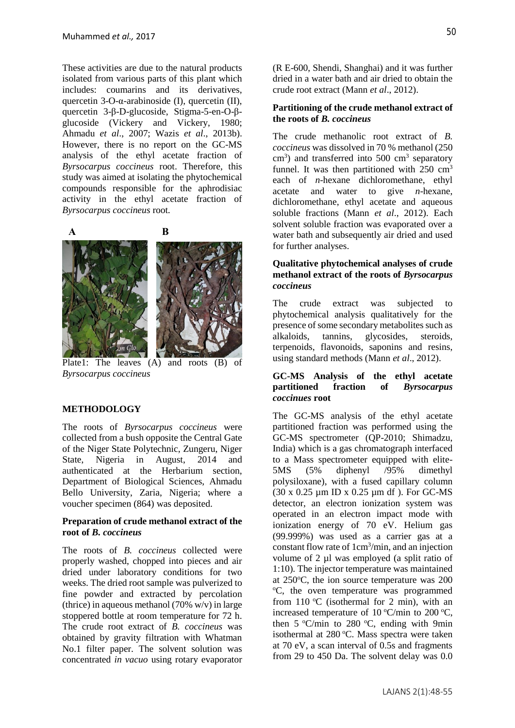These activities are due to the natural products isolated from various parts of this plant which includes: coumarins and its derivatives, quercetin 3-O- $\alpha$ -arabinoside (I), quercetin (II), quercetin 3-β-D-glucoside, Stigma-5-en-O-βglucoside (Vickery and Vickery, 1980; Ahmadu *et al*., 2007; Wazis *et al*., 2013b). However, there is no report on the GC-MS analysis of the ethyl acetate fraction of *Byrsocarpus coccineus* root. Therefore, this study was aimed at isolating the phytochemical compounds responsible for the aphrodisiac activity in the ethyl acetate fraction of *Byrsocarpus coccineus* root.





Plate1: The leaves (A) and roots (B) of *Byrsocarpus coccineus* 

#### **METHODOLOGY**

The roots of *Byrsocarpus coccineus* were collected from a bush opposite the Central Gate of the Niger State Polytechnic, Zungeru, Niger State, Nigeria in August, 2014 and authenticated at the Herbarium section, Department of Biological Sciences, Ahmadu Bello University, Zaria, Nigeria; where a voucher specimen (864) was deposited.

#### **Preparation of crude methanol extract of the root of** *B. coccineus*

The roots of *B. coccineus* collected were properly washed, chopped into pieces and air dried under laboratory conditions for two weeks. The dried root sample was pulverized to fine powder and extracted by percolation (thrice) in aqueous methanol (70% w/v) in large stoppered bottle at room temperature for 72 h. The crude root extract of *B. coccineus* was obtained by gravity filtration with Whatman No.1 filter paper. The solvent solution was concentrated *in vacuo* using rotary evaporator (R E-600, Shendi, Shanghai) and it was further dried in a water bath and air dried to obtain the crude root extract (Mann *et al*., 2012).

#### **Partitioning of the crude methanol extract of the roots of** *B. coccineus*

The crude methanolic root extract of *B. coccineus* was dissolved in 70 % methanol (250 cm<sup>3</sup>) and transferred into 500 cm<sup>3</sup> separatory funnel. It was then partitioned with  $250 \text{ cm}^3$ each of *n*-hexane dichloromethane, ethyl acetate and water to give *n*-hexane, dichloromethane, ethyl acetate and aqueous soluble fractions (Mann *et al*., 2012). Each solvent soluble fraction was evaporated over a water bath and subsequently air dried and used for further analyses.

### **Qualitative phytochemical analyses of crude methanol extract of the roots of** *Byrsocarpus coccineus*

The crude extract was subjected to phytochemical analysis qualitatively for the presence of some secondary metabolites such as alkaloids, tannins, glycosides, steroids, terpenoids, flavonoids, saponins and resins, using standard methods (Mann *et al*., 2012).

### **GC-MS Analysis of the ethyl acetate partitioned fraction of** *Byrsocarpus coccinues* **root**

The GC-MS analysis of the ethyl acetate partitioned fraction was performed using the GC-MS spectrometer (QP-2010; Shimadzu, India) which is a gas chromatograph interfaced to a Mass spectrometer equipped with elite-5MS (5% diphenyl /95% dimethyl polysiloxane), with a fused capillary column (30 x 0.25 µm ID x 0.25 µm df ). For GC-MS detector, an electron ionization system was operated in an electron impact mode with ionization energy of 70 eV. Helium gas (99.999%) was used as a carrier gas at a constant flow rate of 1cm<sup>3</sup>/min, and an injection volume of 2 µl was employed (a split ratio of 1:10). The injector temperature was maintained at  $250^{\circ}$ C, the ion source temperature was  $200$ <sup>o</sup>C, the oven temperature was programmed from 110 °C (isothermal for 2 min), with an increased temperature of  $10^{\circ}$ C/min to  $200^{\circ}$ C, then  $5 \text{ °C/min}$  to  $280 \text{ °C}$ , ending with 9min isothermal at  $280^{\circ}$ C. Mass spectra were taken at 70 eV, a scan interval of 0.5s and fragments from 29 to 450 Da. The solvent delay was 0.0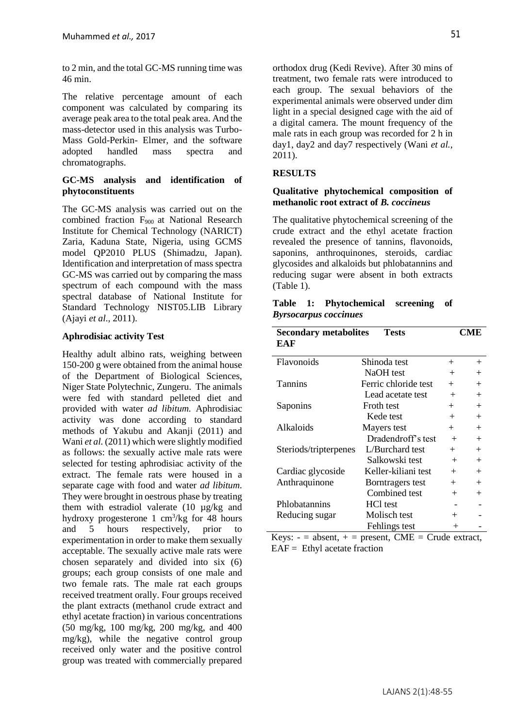to 2 min, and the total GC-MS running time was 46 min.

The relative percentage amount of each component was calculated by comparing its average peak area to the total peak area. And the mass-detector used in this analysis was Turbo-Mass Gold-Perkin- Elmer, and the software adopted handled mass spectra and chromatographs.

### **GC-MS analysis and identification of phytoconstituents**

The GC-MS analysis was carried out on the combined fraction F900 at National Research Institute for Chemical Technology (NARICT) Zaria, Kaduna State, Nigeria, using GCMS model QP2010 PLUS (Shimadzu, Japan). Identification and interpretation of mass spectra GC-MS was carried out by comparing the mass spectrum of each compound with the mass spectral database of National Institute for Standard Technology NIST05.LIB Library (Ajayi *et al*., 2011).

# **Aphrodisiac activity Test**

Healthy adult albino rats, weighing between 150-200 g were obtained from the animal house of the Department of Biological Sciences, Niger State Polytechnic, Zungeru. The animals were fed with standard pelleted diet and provided with water *ad libitum.* Aphrodisiac activity was done according to standard methods of Yakubu and Akanji (2011) and Wani *et al.* (2011) which were slightly modified as follows: the sexually active male rats were selected for testing aphrodisiac activity of the extract. The female rats were housed in a separate cage with food and water *ad libitum*. They were brought in oestrous phase by treating them with estradiol valerate (10 µg/kg and hydroxy progesterone  $1 \text{ cm}^3/\text{kg}$  for 48 hours and 5 hours respectively, prior to experimentation in order to make them sexually acceptable. The sexually active male rats were chosen separately and divided into six (6) groups; each group consists of one male and two female rats. The male rat each groups received treatment orally. Four groups received the plant extracts (methanol crude extract and ethyl acetate fraction) in various concentrations (50 mg/kg, 100 mg/kg, 200 mg/kg, and 400 mg/kg), while the negative control group received only water and the positive control group was treated with commercially prepared orthodox drug (Kedi Revive). After 30 mins of treatment, two female rats were introduced to each group. The sexual behaviors of the experimental animals were observed under dim light in a special designed cage with the aid of a digital camera. The mount frequency of the male rats in each group was recorded for 2 h in day1, day2 and day7 respectively (Wani *et al.*, 2011).

# **RESULTS**

# **Qualitative phytochemical composition of methanolic root extract of** *B. coccineus*

The qualitative phytochemical screening of the crude extract and the ethyl acetate fraction revealed the presence of tannins, flavonoids, saponins, anthroquinones, steroids, cardiac glycosides and alkaloids but phlobatannins and reducing sugar were absent in both extracts (Table 1).

|  | Table 1: Phytochemical screening of |  |
|--|-------------------------------------|--|
|  | <b>Byrsocarpus coccinues</b>        |  |

| <b>Secondary metabolites</b> | <b>Tests</b>         |        | CME    |
|------------------------------|----------------------|--------|--------|
| EAF                          |                      |        |        |
| Flavonoids                   | Shinoda test         | $^{+}$ | $^{+}$ |
|                              | NaOH test            | $^{+}$ | $^{+}$ |
| <b>Tannins</b>               | Ferric chloride test | $+$    | $^{+}$ |
|                              | Lead acetate test    | $+$    | $^{+}$ |
| Saponins                     | Froth test           | $+$    | $+$    |
|                              | Kede test            | $^{+}$ | $+$    |
| Alkaloids                    | Mayers test          | $+$    | $+$    |
|                              | Dradendroff's test   | $+$    | $+$    |
| Steriods/tripterpenes        | L/Burchard test      | $^{+}$ | $^{+}$ |
|                              | Salkowski test       | $^{+}$ | $^{+}$ |
| Cardiac glycoside            | Keller-kiliani test  | $^{+}$ | $+$    |
| Anthraquinone                | Borntragers test     | $^{+}$ | $^{+}$ |
|                              | Combined test        | $^{+}$ | $^{+}$ |
| Phlobatannins                | HCl test             |        |        |
| Reducing sugar               | Molisch test         | $^{+}$ |        |
|                              | Fehlings test        | $^{+}$ |        |

Keys:  $-$  = absent,  $+$  = present, CME = Crude extract,  $EAF = Ethyl$  acetate fraction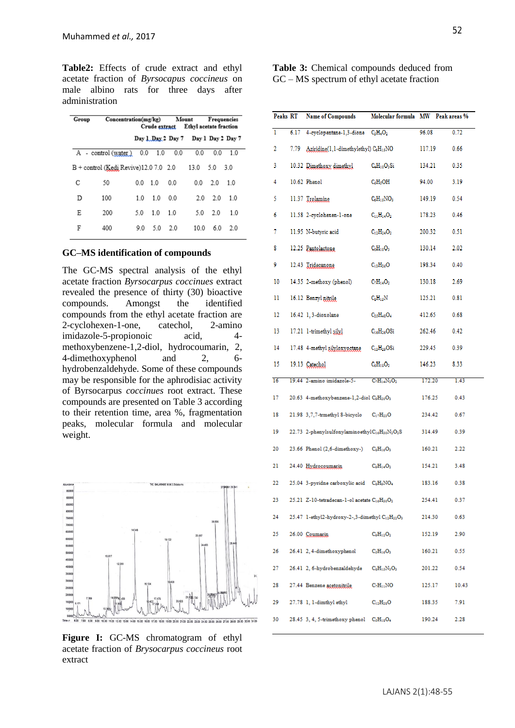**Table2:** Effects of crude extract and ethyl acetate fraction of *Byrsocapus coccineus* on male albino rats for three days after administration

|   | Concentration(mg/kg)<br>Group           |     | Mount<br>Crude extract Ethyl acetate fraction |                                      | Frequencies |     |       |
|---|-----------------------------------------|-----|-----------------------------------------------|--------------------------------------|-------------|-----|-------|
|   |                                         |     |                                               | Day 1, Day 2 Day 7 Day 1 Day 2 Day 7 |             |     |       |
|   | A - control (water)                     | 0.0 | 1.0                                           | 0.0                                  | 0.0         | 0.0 | 1.0   |
|   | $B +$ control (Kedi Revive)12.0 7.0 2.0 |     |                                               |                                      | 13.0        | 5.0 | - 3.0 |
| с | 50                                      | 0.0 | 1.0                                           | 0.0                                  | 0.0         | 2.0 | 1.0   |
| D | 100                                     | 1.0 | 10                                            | 0 <sub>0</sub>                       | 2.0         | 20  | 1.0   |
| Ε | 200                                     | 50  | 10                                            | 10                                   | 5.0         | 2.0 | 1.0   |
| F | 400                                     | 90  | 50                                            | 20                                   | 10.0        | 60  | 20    |

#### **GC–MS identification of compounds**

The GC-MS spectral analysis of the ethyl acetate fraction *Byrsocarpus coccinues* extract revealed the presence of thirty (30) bioactive compounds. Amongst the identified compounds from the ethyl acetate fraction are 2-cyclohexen-1-one, catechol, 2-amino imidazole-5-propionoic acid, 4 methoxybenzene-1,2-diol, hydrocoumarin, 2, 4-dimethoxyphenol and 2, 6 hydrobenzaldehyde. Some of these compounds may be responsible for the aphrodisiac activity of Byrsocarpus *coccinues* root extract. These compounds are presented on Table 3 according to their retention time, area %, fragmentation peaks, molecular formula and molecular weight.



**Figure I:** GC-MS chromatogram of ethyl acetate fraction of *Brysocarpus coccineus* root extract

**Table 3:** Chemical compounds deduced from GC – MS spectrum of ethyl acetate fraction

| Peaks RT |      | <b>Name of Compounds</b>                                              | Molecular formula MW Peak areas % |        |       |
|----------|------|-----------------------------------------------------------------------|-----------------------------------|--------|-------|
| 1        | 6.17 | 4-cyclopentane-1,3-dione C <sub>5</sub> H <sub>4</sub> O <sub>2</sub> |                                   | 96.08  | 0.72  |
| 2        | 7.79 | Aziridine(1,1-dimethylethyl) C6H15NO                                  |                                   | 117.19 | 0.66  |
| 3        |      | 10.32 Dimathoxy dimethyl                                              | $C_4H_{10}O_3Si$                  | 134.21 | 0.35  |
| 4        |      | 10.62 Phenol                                                          | $\rm C_6H_5OH$                    | 94.00  | 3.19  |
| 5        |      | 11.37 Trolamine                                                       | $C_6H_{15}NO_3$                   | 149.19 | 0.54  |
| 6        |      | 11.58 2-cyclohexen-1-one                                              | $C_{11}H_{14}O_2$                 | 178.23 | 0.46  |
| 7        |      | 11.95 N-butyric acid                                                  | $C_{12}H_{24}O_2$                 | 200.32 | 0.51  |
| 8        |      | 12.25 Pantolactone                                                    | $C_6H_{10}O_3$                    | 130.14 | 2.02  |
| 9        |      | 12.43 Tridecanone                                                     | $C_{13}H_{26}O$                   | 198.34 | 0.40  |
| 10       |      | 14.35 2-methoxy (phenol)                                              | $C_7H_{14}O_2$                    | 130.18 | 2.69  |
| 11       |      | 16.12 Benzyl nitrile                                                  | $\rm{C_8H_{15}N}$                 | 125.21 | 0.81  |
| 12       |      | 16.42 1, 3-dioxolane                                                  | $C_{25}H_{48}O_4$                 | 412.65 | 0.68  |
| 13       |      | 17.21 1-trimethyl silyl                                               | $C_{16}H_{26}OSi$                 | 262.46 | 0.42  |
| 14       |      | 17.48 4-methyl silyloxyoctane                                         | $C_{13}H_{29}OSi$                 | 229.45 | 0.39  |
| 15       |      | 19.13 Catechol                                                        | $C_6H_{18}O_2$                    | 146.23 | 8.33  |
| 16       |      | 19.44 2-amino imidazole-5-                                            | $C_7H_{14}N_3O_2$                 | 172.20 | 1.43  |
| 17       |      | 20.63 4-methoxybenzene-1,2-diol C2H20O3                               |                                   | 176.25 | 0.43  |
| 18       |      | 21.98 3,7,7-trmethyl 8-bicyclo C17H23O                                |                                   | 234.42 | 0.67  |
| 19       |      | 22.73 2-phenylsulfonylaminoethylC16H30N2O2S                           |                                   | 314.49 | 0.39  |
| 20       |      | 23.66 Phenol (2,6-dimethoxy-) $C_8H_{16}O_3$                          |                                   | 160.21 | 2.22  |
| 21       |      | 24.40 Hydrocoumarin                                                   | $C_9H_{14}O_2$                    | 154.21 | 3.48  |
| 22       |      | 25.04 3-pyridne carboxylic acid CaH2NO4                               |                                   | 183.16 | 0.38  |
| 23       |      | $25.21$ Z-10-tetradecan-1-ol acetate $C_{16}H_{30}O_2$                |                                   | 254.41 | 0.37  |
| 24       |      | 25.47 1-ethyl2-hydroxy-2-,3-dimethyl C12H22O3                         |                                   | 214.30 | 0.63  |
| 25       |      | 26.00 Coumarin                                                        | $C_9H_{12}O_2$                    | 152.19 | 2.90  |
| 26       |      | $26.41$ 2, 4-dimethoxyphenol $C_5H_{16}O_3$                           |                                   | 160.21 | 0.55  |
| 27       |      | 26.41 2, 6-hydrobenzaldehyde CaH15N3O3                                |                                   | 201.22 | 0.54  |
| 28       |      | $27.44$ Benzene acetonitrile. $C_7H_{11}NO$                           |                                   | 125.17 | 10.43 |
| 29       |      | $27.78$ 1, 1-dimthyl ethyl $C_{12}H_{28}O$                            |                                   | 188.35 | 7.91  |
| 30       |      | 28.45 3, 4, 5-trimethoxy phenol $C_5H_{18}O_4$                        |                                   | 190.24 | 2.28  |
|          |      |                                                                       |                                   |        |       |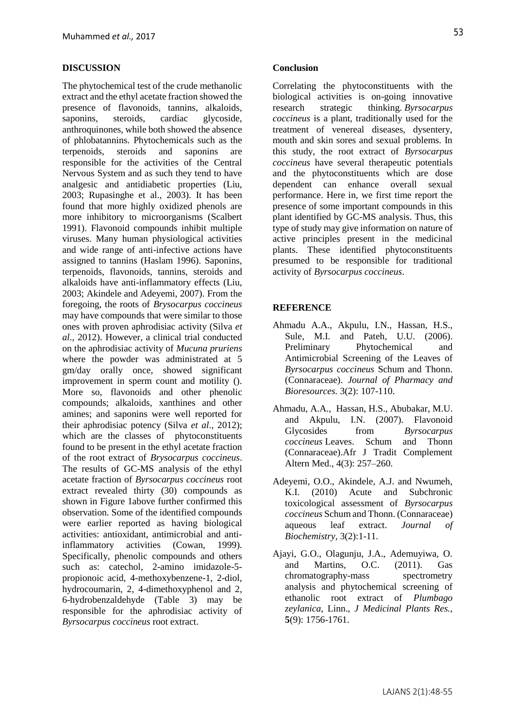#### **DISCUSSION**

The phytochemical test of the crude methanolic extract and the ethyl acetate fraction showed the presence of flavonoids, tannins, alkaloids, saponins, steroids, cardiac glycoside, anthroquinones, while both showed the absence of phlobatannins. Phytochemicals such as the terpenoids, steroids and saponins are responsible for the activities of the Central Nervous System and as such they tend to have analgesic and antidiabetic properties (Liu, 2003; Rupasinghe et al., 2003). It has been found that more highly oxidized phenols are more inhibitory to microorganisms (Scalbert 1991). Flavonoid compounds inhibit multiple viruses. Many human physiological activities and wide range of anti-infective actions have assigned to tannins (Haslam 1996). Saponins, terpenoids, flavonoids, tannins, steroids and alkaloids have anti-inflammatory effects (Liu, 2003; Akindele and Adeyemi, 2007). From the foregoing, the roots of *Brysocarpus coccineus* may have compounds that were similar to those ones with proven aphrodisiac activity (Silva *et al*., 2012). However, a clinical trial conducted on the aphrodisiac activity of *Mucuna pruriens* where the powder was administrated at 5 gm/day orally once, showed significant improvement in sperm count and motility (). More so, flavonoids and other phenolic compounds; alkaloids, xanthines and other amines; and saponins were well reported for their aphrodisiac potency (Silva *et al*., 2012); which are the classes of phytoconstituents found to be present in the ethyl acetate fraction of the root extract of *Brysocarpus coccineus*. The results of GC-MS analysis of the ethyl acetate fraction of *Byrsocarpus coccineus* root extract revealed thirty (30) compounds as shown in Figure 1above further confirmed this observation. Some of the identified compounds were earlier reported as having biological activities: antioxidant, antimicrobial and antiinflammatory activities (Cowan, 1999). Specifically, phenolic compounds and others such as: catechol, 2-amino imidazole-5 propionoic acid, 4-methoxybenzene-1, 2-diol, hydrocoumarin, 2, 4-dimethoxyphenol and 2, 6-hydrobenzaldehyde (Table 3) may be responsible for the aphrodisiac activity of *Byrsocarpus coccineus* root extract.

#### **Conclusion**

Correlating the phytoconstituents with the biological activities is on-going innovative research strategic thinking. *Byrsocarpus coccineus* is a plant, traditionally used for the treatment of venereal diseases, dysentery, mouth and skin sores and sexual problems. In this study, the root extract of *Byrsocarpus coccineus* have several therapeutic potentials and the phytoconstituents which are dose dependent can enhance overall sexual performance. Here in, we first time report the presence of some important compounds in this plant identified by GC-MS analysis. Thus, this type of study may give information on nature of active principles present in the medicinal plants. These identified phytoconstituents presumed to be responsible for traditional activity of *Byrsocarpus coccineus*.

#### **REFERENCE**

- Ahmadu A.A., Akpulu, I.N., Hassan, H.S., Sule, M.I. and Pateh, U.U. (2006). Preliminary Phytochemical and Antimicrobial Screening of the Leaves of *Byrsocarpus coccineus* Schum and Thonn. (Connaraceae). *Journal of Pharmacy and Bioresources.* 3(2): 107-110.
- Ahmadu, A.A., Hassan, H.S., Abubakar, M.U. and Akpulu, I.N. (2007). Flavonoid Glycosides from *Byrsocarpus coccineus* Leaves. Schum and Thonn (Connaraceae).Afr J Tradit Complement Altern Med., 4(3): 257–260.
- Adeyemi, O.O., Akindele, A.J. and Nwumeh, K.I. (2010) Acute and Subchronic toxicological assessment of *Byrsocarpus coccineus* Schum and Thonn. (Connaraceae) aqueous leaf extract. *Journal of Biochemistry,* 3(2):1-11.
- Ajayi, G.O., Olagunju, J.A., Ademuyiwa, O. and Martins, O.C. (2011). Gas chromatography-mass spectrometry analysis and phytochemical screening of ethanolic root extract of *Plumbago zeylanica*, Linn., *J Medicinal Plants Res.*, **5**(9): 1756-1761.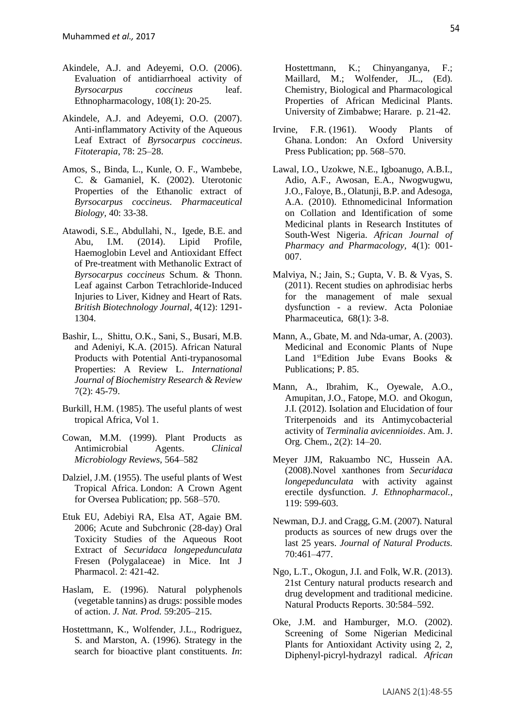- Akindele, A.J. and Adeyemi, O.O. (2006). Evaluation of antidiarrhoeal activity of *Byrsocarpus coccineus* leaf. Ethnopharmacology, 108(1): 20-25.
- Akindele, A.J. and Adeyemi, O.O. (2007). Anti-inflammatory Activity of the Aqueous Leaf Extract of *Byrsocarpus coccineus*. *Fitoterapia*, 78: 25–28.
- Amos, S., Binda, L., Kunle, O. F., Wambebe, C. & Gamaniel, K. (2002). Uterotonic Properties of the Ethanolic extract of *Byrsocarpus coccineus*. *Pharmaceutical Biology,* 40: 33-38.
- Atawodi, S.E., Abdullahi, N., Igede, B.E. and Abu, I.M. (2014). Lipid Profile, Haemoglobin Level and Antioxidant Effect of Pre-treatment with Methanolic Extract of *Byrsocarpus coccineus* Schum. & Thonn. Leaf against Carbon Tetrachloride-Induced Injuries to Liver, Kidney and Heart of Rats. *British Biotechnology Journal,* 4(12): 1291- 1304.
- Bashir, L., Shittu, O.K., Sani, S., Busari, M.B. and Adeniyi, K.A. (2015). African Natural Products with Potential Anti-trypanosomal Properties: A Review L. *International Journal of Biochemistry Research & Review* 7(2): 45-79.
- Burkill, H.M. (1985). The useful plants of west tropical Africa, Vol 1.
- Cowan, M.M. (1999). Plant Products as Antimicrobial Agents. *Clinical Microbiology Reviews,* 564–582
- Dalziel, J.M. (1955). The useful plants of West Tropical Africa. London: A Crown Agent for Oversea Publication; pp. 568–570.
- Etuk EU, Adebiyi RA, Elsa AT, Agaie BM. 2006; Acute and Subchronic (28-day) Oral Toxicity Studies of the Aqueous Root Extract of *Securidaca longepedunculata*  Fresen (Polygalaceae) in Mice. Int J Pharmacol. 2: 421-42.
- Haslam, E. (1996). Natural polyphenols (vegetable tannins) as drugs: possible modes of action. *J. Nat. Prod.* 59:205–215.
- Hostettmann, K., Wolfender, J.L., Rodriguez, S. and Marston, A. (1996). Strategy in the search for bioactive plant constituents. *In*:

Hostettmann, K.; Chinyanganya, F.; Maillard, M.; Wolfender, JL., (Ed). Chemistry, Biological and Pharmacological Properties of African Medicinal Plants. University of Zimbabwe; Harare. p. 21-42.

- Irvine, F.R. (1961). Woody Plants of Ghana. London: An Oxford University Press Publication; pp. 568–570.
- Lawal, I.O., Uzokwe, N.E., Igboanugo, A.B.I., Adio, A.F., Awosan, E.A., Nwogwugwu, J.O., Faloye, B., Olatunji, B.P. and Adesoga, A.A. (2010). Ethnomedicinal Information on Collation and Identification of some Medicinal plants in Research Institutes of South-West Nigeria. *African Journal of Pharmacy and Pharmacology,* 4(1): 001- 007.
- Malviya, N.; Jain, S.; Gupta, V. B. & Vyas, S. (2011). Recent studies on aphrodisiac herbs for the management of male sexual dysfunction - a review. Acta Poloniae Pharmaceutica, 68(1): 3-8.
- Mann, A., Gbate, M. and Nda-umar, A. (2003). Medicinal and Economic Plants of Nupe Land 1<sup>st</sup>Edition Jube Evans Books & Publications; P. 85.
- Mann, A., Ibrahim, K., Oyewale, A.O., Amupitan, J.O., Fatope, M.O. and Okogun, J.I. (2012). Isolation and Elucidation of four Triterpenoids and its Antimycobacterial activity of *Terminalia avicennioides*. Am. J. Org. Chem., 2(2): 14–20.
- Meyer JJM, Rakuambo NC, Hussein AA. (2008).Novel xanthones from *Securidaca longepedunculata* with activity against erectile dysfunction. *J. Ethnopharmacol.*, 119: 599-603.
- Newman, D.J. and Cragg, G.M. (2007). Natural products as sources of new drugs over the last 25 years. *Journal of Natural Products.* 70:461–477.
- Ngo, L.T., Okogun, J.I. and Folk, W.R. (2013). 21st Century natural products research and drug development and traditional medicine. Natural Products Reports. 30:584–592.
- Oke, J.M. and Hamburger, M.O. (2002). Screening of Some Nigerian Medicinal Plants for Antioxidant Activity using 2, 2, Diphenyl-picryl-hydrazyl radical. *African*